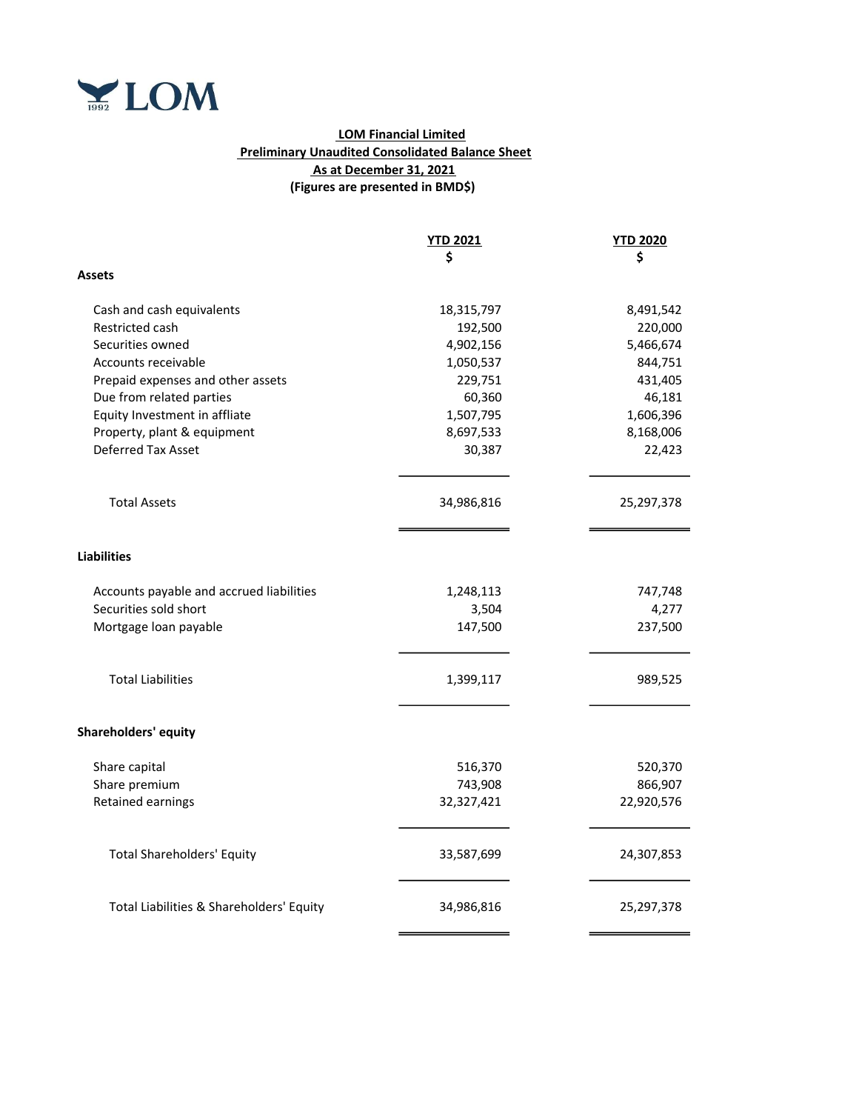

## LOM Financial Limited Preliminary Unaudited Consolidated Balance Sheet As at December 31, 2021 (Figures are presented in BMD\$)

|                                          | <b>YTD 2021</b> | <b>YTD 2020</b> |
|------------------------------------------|-----------------|-----------------|
|                                          | \$              | \$              |
| Assets                                   |                 |                 |
| Cash and cash equivalents                | 18,315,797      | 8,491,542       |
| Restricted cash                          | 192,500         | 220,000         |
| Securities owned                         | 4,902,156       | 5,466,674       |
| Accounts receivable                      | 1,050,537       | 844,751         |
| Prepaid expenses and other assets        | 229,751         | 431,405         |
| Due from related parties                 | 60,360          | 46,181          |
| Equity Investment in affliate            | 1,507,795       | 1,606,396       |
| Property, plant & equipment              | 8,697,533       | 8,168,006       |
| Deferred Tax Asset                       | 30,387          | 22,423          |
| <b>Total Assets</b>                      | 34,986,816      | 25,297,378      |
| <b>Liabilities</b>                       |                 |                 |
| Accounts payable and accrued liabilities | 1,248,113       | 747,748         |
| Securities sold short                    | 3,504           | 4,277           |
| Mortgage loan payable                    | 147,500         | 237,500         |
| <b>Total Liabilities</b>                 | 1,399,117       | 989,525         |
| <b>Shareholders' equity</b>              |                 |                 |
| Share capital                            | 516,370         | 520,370         |
| Share premium                            | 743,908         | 866,907         |
| <b>Retained earnings</b>                 | 32,327,421      | 22,920,576      |
| <b>Total Shareholders' Equity</b>        | 33,587,699      | 24,307,853      |
| Total Liabilities & Shareholders' Equity | 34,986,816      | 25,297,378      |
|                                          |                 |                 |